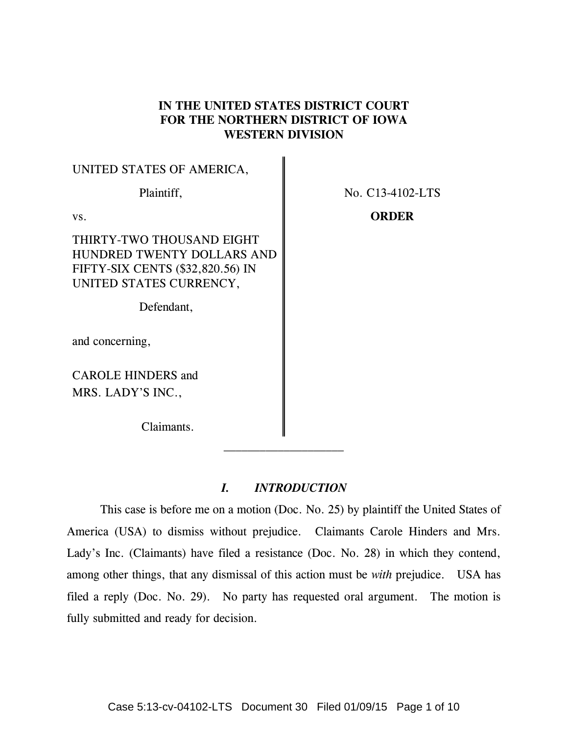# **IN THE UNITED STATES DISTRICT COURT FOR THE NORTHERN DISTRICT OF IOWA WESTERN DIVISION**

| UNITED STATES OF AMERICA,                                                                                              |                  |
|------------------------------------------------------------------------------------------------------------------------|------------------|
| Plaintiff,                                                                                                             | No. C13-4102-LTS |
| VS.                                                                                                                    | <b>ORDER</b>     |
| THIRTY-TWO THOUSAND EIGHT<br>HUNDRED TWENTY DOLLARS AND<br>FIFTY-SIX CENTS (\$32,820.56) IN<br>UNITED STATES CURRENCY, |                  |
| Defendant,                                                                                                             |                  |
| and concerning,                                                                                                        |                  |
| <b>CAROLE HINDERS and</b>                                                                                              |                  |
| MRS. LADY'S INC.,                                                                                                      |                  |
| Claimants.                                                                                                             |                  |

 $\mathcal{L}_\text{max}$  and  $\mathcal{L}_\text{max}$  and  $\mathcal{L}_\text{max}$  and  $\mathcal{L}_\text{max}$ 

# *I. INTRODUCTION*

 This case is before me on a motion (Doc. No. 25) by plaintiff the United States of America (USA) to dismiss without prejudice. Claimants Carole Hinders and Mrs. Lady's Inc. (Claimants) have filed a resistance (Doc. No. 28) in which they contend, among other things, that any dismissal of this action must be *with* prejudice. USA has filed a reply (Doc. No. 29). No party has requested oral argument. The motion is fully submitted and ready for decision.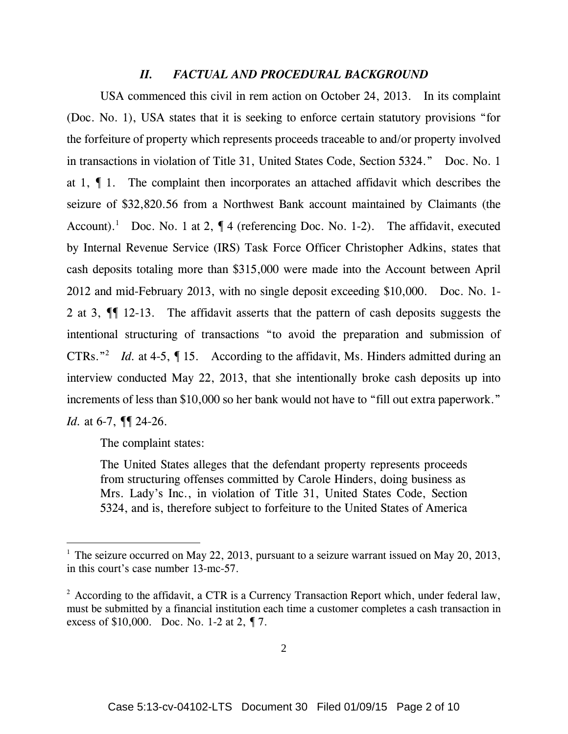# *II. FACTUAL AND PROCEDURAL BACKGROUND*

 USA commenced this civil in rem action on October 24, 2013. In its complaint (Doc. No. 1), USA states that it is seeking to enforce certain statutory provisions "for the forfeiture of property which represents proceeds traceable to and/or property involved in transactions in violation of Title 31, United States Code, Section 5324." Doc. No. 1 at 1, ¶ 1. The complaint then incorporates an attached affidavit which describes the seizure of \$32,820.56 from a Northwest Bank account maintained by Claimants (the Account).<sup>1</sup> Doc. No. 1 at 2,  $\P$  4 (referencing Doc. No. 1-2). The affidavit, executed by Internal Revenue Service (IRS) Task Force Officer Christopher Adkins, states that cash deposits totaling more than \$315,000 were made into the Account between April 2012 and mid-February 2013, with no single deposit exceeding \$10,000. Doc. No. 1- 2 at 3, ¶¶ 12-13. The affidavit asserts that the pattern of cash deposits suggests the intentional structuring of transactions "to avoid the preparation and submission of CTRs.<sup>"2</sup> *Id.* at 4-5,  $\int$  15. According to the affidavit, Ms. Hinders admitted during an interview conducted May 22, 2013, that she intentionally broke cash deposits up into increments of less than \$10,000 so her bank would not have to "fill out extra paperwork." *Id.* at 6-7, ¶¶ 24-26.

The complaint states:

 $\overline{a}$ 

The United States alleges that the defendant property represents proceeds from structuring offenses committed by Carole Hinders, doing business as Mrs. Lady's Inc., in violation of Title 31, United States Code, Section 5324, and is, therefore subject to forfeiture to the United States of America

<sup>&</sup>lt;sup>1</sup> The seizure occurred on May 22, 2013, pursuant to a seizure warrant issued on May 20, 2013, in this court's case number 13-mc-57.

 $2^2$  According to the affidavit, a CTR is a Currency Transaction Report which, under federal law, must be submitted by a financial institution each time a customer completes a cash transaction in excess of \$10,000. Doc. No. 1-2 at 2, ¶ 7.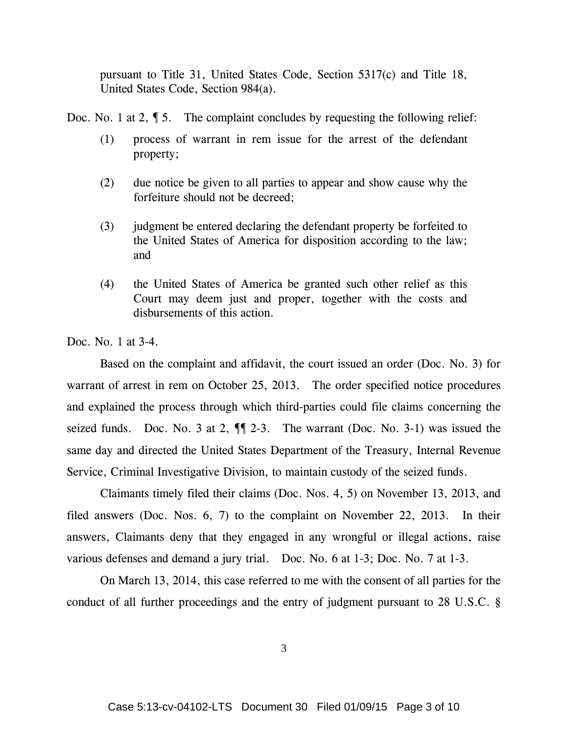pursuant to Title 31, United States Code, Section 5317(c) and Title 18, United States Code, Section 984(a).

Doc. No. 1 at 2,  $\oint$  5. The complaint concludes by requesting the following relief:

- (1) process of warrant in rem issue for the arrest of the defendant property;
- (2) due notice be given to all parties to appear and show cause why the forfeiture should not be decreed;
- (3) judgment be entered declaring the defendant property be forfeited to the United States of America for disposition according to the law; and
- (4) the United States of America be granted such other relief as this Court may deem just and proper, together with the costs and disbursements of this action.

Doc. No. 1 at 3-4.

 Based on the complaint and affidavit, the court issued an order (Doc. No. 3) for warrant of arrest in rem on October 25, 2013. The order specified notice procedures and explained the process through which third-parties could file claims concerning the seized funds. Doc. No. 3 at 2,  $\P$  2-3. The warrant (Doc. No. 3-1) was issued the same day and directed the United States Department of the Treasury, Internal Revenue Service, Criminal Investigative Division, to maintain custody of the seized funds.

 Claimants timely filed their claims (Doc. Nos. 4, 5) on November 13, 2013, and filed answers (Doc. Nos. 6, 7) to the complaint on November 22, 2013. In their answers, Claimants deny that they engaged in any wrongful or illegal actions, raise various defenses and demand a jury trial. Doc. No. 6 at 1-3; Doc. No. 7 at 1-3.

 On March 13, 2014, this case referred to me with the consent of all parties for the conduct of all further proceedings and the entry of judgment pursuant to 28 U.S.C. §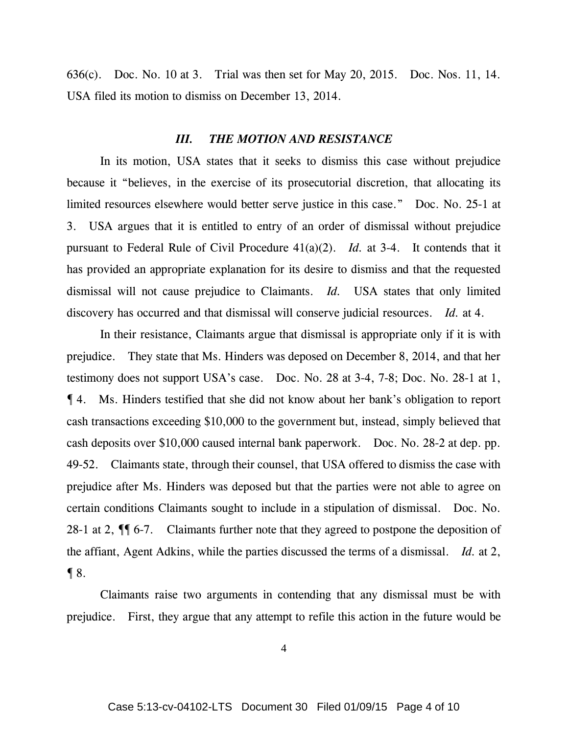636(c). Doc. No. 10 at 3. Trial was then set for May 20, 2015. Doc. Nos. 11, 14. USA filed its motion to dismiss on December 13, 2014.

#### *III. THE MOTION AND RESISTANCE*

 In its motion, USA states that it seeks to dismiss this case without prejudice because it "believes, in the exercise of its prosecutorial discretion, that allocating its limited resources elsewhere would better serve justice in this case." Doc. No. 25-1 at 3. USA argues that it is entitled to entry of an order of dismissal without prejudice pursuant to Federal Rule of Civil Procedure 41(a)(2). *Id.* at 3-4. It contends that it has provided an appropriate explanation for its desire to dismiss and that the requested dismissal will not cause prejudice to Claimants. *Id.* USA states that only limited discovery has occurred and that dismissal will conserve judicial resources. *Id.* at 4.

 In their resistance, Claimants argue that dismissal is appropriate only if it is with prejudice. They state that Ms. Hinders was deposed on December 8, 2014, and that her testimony does not support USA's case. Doc. No. 28 at 3-4, 7-8; Doc. No. 28-1 at 1, ¶ 4. Ms. Hinders testified that she did not know about her bank's obligation to report cash transactions exceeding \$10,000 to the government but, instead, simply believed that cash deposits over \$10,000 caused internal bank paperwork. Doc. No. 28-2 at dep. pp. 49-52. Claimants state, through their counsel, that USA offered to dismiss the case with prejudice after Ms. Hinders was deposed but that the parties were not able to agree on certain conditions Claimants sought to include in a stipulation of dismissal. Doc. No. 28-1 at 2,  $\P$  6-7. Claimants further note that they agreed to postpone the deposition of the affiant, Agent Adkins, while the parties discussed the terms of a dismissal. *Id.* at 2, ¶ 8.

 Claimants raise two arguments in contending that any dismissal must be with prejudice. First, they argue that any attempt to refile this action in the future would be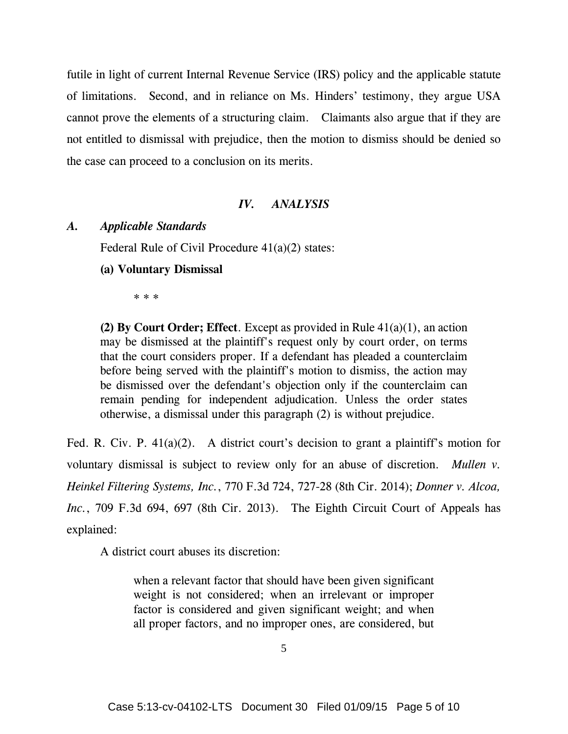futile in light of current Internal Revenue Service (IRS) policy and the applicable statute of limitations. Second, and in reliance on Ms. Hinders' testimony, they argue USA cannot prove the elements of a structuring claim. Claimants also argue that if they are not entitled to dismissal with prejudice, then the motion to dismiss should be denied so the case can proceed to a conclusion on its merits.

# *IV. ANALYSIS*

## *A. Applicable Standards*

Federal Rule of Civil Procedure 41(a)(2) states:

**(a) Voluntary Dismissal** 

\* \* \*

**(2) By Court Order; Effect**. Except as provided in Rule 41(a)(1), an action may be dismissed at the plaintiff's request only by court order, on terms that the court considers proper. If a defendant has pleaded a counterclaim before being served with the plaintiff's motion to dismiss, the action may be dismissed over the defendant's objection only if the counterclaim can remain pending for independent adjudication. Unless the order states otherwise, a dismissal under this paragraph (2) is without prejudice.

Fed. R. Civ. P. 41(a)(2). A district court's decision to grant a plaintiff's motion for voluntary dismissal is subject to review only for an abuse of discretion. *Mullen v. Heinkel Filtering Systems, Inc.*, 770 F.3d 724, 727-28 (8th Cir. 2014); *Donner v. Alcoa, Inc.*, 709 F.3d 694, 697 (8th Cir. 2013). The Eighth Circuit Court of Appeals has explained:

A district court abuses its discretion:

when a relevant factor that should have been given significant weight is not considered; when an irrelevant or improper factor is considered and given significant weight; and when all proper factors, and no improper ones, are considered, but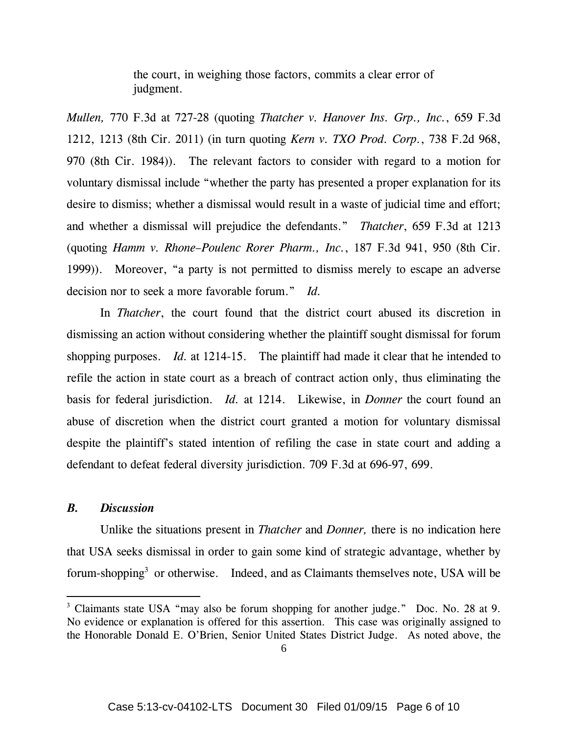the court, in weighing those factors, commits a clear error of judgment.

*Mullen,* 770 F.3d at 727-28 (quoting *Thatcher v. Hanover Ins. Grp., Inc.*, 659 F.3d 1212, 1213 (8th Cir. 2011) (in turn quoting *Kern v. TXO Prod. Corp.*, 738 F.2d 968, 970 (8th Cir. 1984)). The relevant factors to consider with regard to a motion for voluntary dismissal include "whether the party has presented a proper explanation for its desire to dismiss; whether a dismissal would result in a waste of judicial time and effort; and whether a dismissal will prejudice the defendants." *Thatcher*, 659 F.3d at 1213 (quoting *Hamm v. Rhone–Poulenc Rorer Pharm., Inc.*, 187 F.3d 941, 950 (8th Cir. 1999)). Moreover, "a party is not permitted to dismiss merely to escape an adverse decision nor to seek a more favorable forum." *Id.* 

In *Thatcher*, the court found that the district court abused its discretion in dismissing an action without considering whether the plaintiff sought dismissal for forum shopping purposes. *Id.* at 1214-15. The plaintiff had made it clear that he intended to refile the action in state court as a breach of contract action only, thus eliminating the basis for federal jurisdiction. *Id.* at 1214. Likewise, in *Donner* the court found an abuse of discretion when the district court granted a motion for voluntary dismissal despite the plaintiff's stated intention of refiling the case in state court and adding a defendant to defeat federal diversity jurisdiction. 709 F.3d at 696-97, 699.

### *B. Discussion*

 $\overline{a}$ 

 Unlike the situations present in *Thatcher* and *Donner,* there is no indication here that USA seeks dismissal in order to gain some kind of strategic advantage, whether by forum-shopping<sup>3</sup> or otherwise. Indeed, and as Claimants themselves note, USA will be

<sup>&</sup>lt;sup>3</sup> Claimants state USA "may also be forum shopping for another judge." Doc. No. 28 at 9. No evidence or explanation is offered for this assertion. This case was originally assigned to the Honorable Donald E. O'Brien, Senior United States District Judge. As noted above, the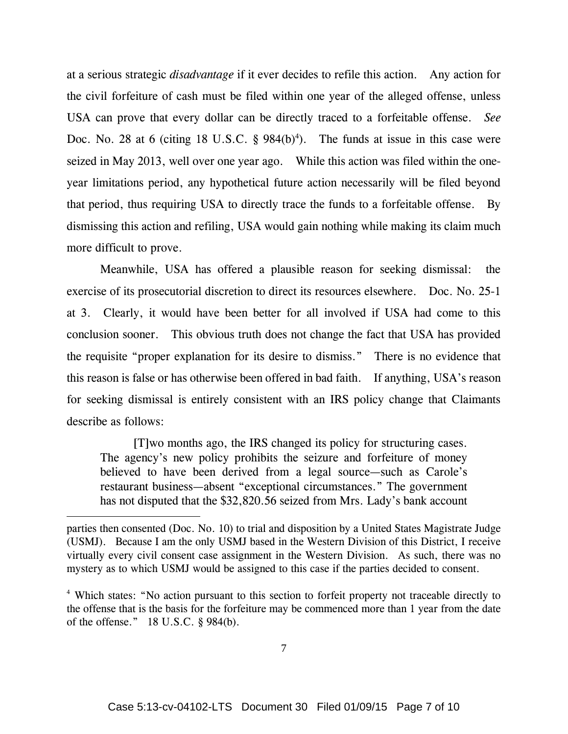at a serious strategic *disadvantage* if it ever decides to refile this action. Any action for the civil forfeiture of cash must be filed within one year of the alleged offense, unless USA can prove that every dollar can be directly traced to a forfeitable offense. *See*  Doc. No. 28 at 6 (citing 18 U.S.C.  $\S$  984(b)<sup>4</sup>). The funds at issue in this case were seized in May 2013, well over one year ago. While this action was filed within the oneyear limitations period, any hypothetical future action necessarily will be filed beyond that period, thus requiring USA to directly trace the funds to a forfeitable offense. By dismissing this action and refiling, USA would gain nothing while making its claim much more difficult to prove.

 Meanwhile, USA has offered a plausible reason for seeking dismissal: the exercise of its prosecutorial discretion to direct its resources elsewhere. Doc. No. 25-1 at 3. Clearly, it would have been better for all involved if USA had come to this conclusion sooner. This obvious truth does not change the fact that USA has provided the requisite "proper explanation for its desire to dismiss." There is no evidence that this reason is false or has otherwise been offered in bad faith. If anything, USA's reason for seeking dismissal is entirely consistent with an IRS policy change that Claimants describe as follows:

 [T]wo months ago, the IRS changed its policy for structuring cases. The agency's new policy prohibits the seizure and forfeiture of money believed to have been derived from a legal source—such as Carole's restaurant business—absent "exceptional circumstances." The government has not disputed that the \$32,820.56 seized from Mrs. Lady's bank account

 $\overline{a}$ 

parties then consented (Doc. No. 10) to trial and disposition by a United States Magistrate Judge (USMJ). Because I am the only USMJ based in the Western Division of this District, I receive virtually every civil consent case assignment in the Western Division. As such, there was no mystery as to which USMJ would be assigned to this case if the parties decided to consent.

<sup>&</sup>lt;sup>4</sup> Which states: "No action pursuant to this section to forfeit property not traceable directly to the offense that is the basis for the forfeiture may be commenced more than 1 year from the date of the offense." 18 U.S.C. § 984(b).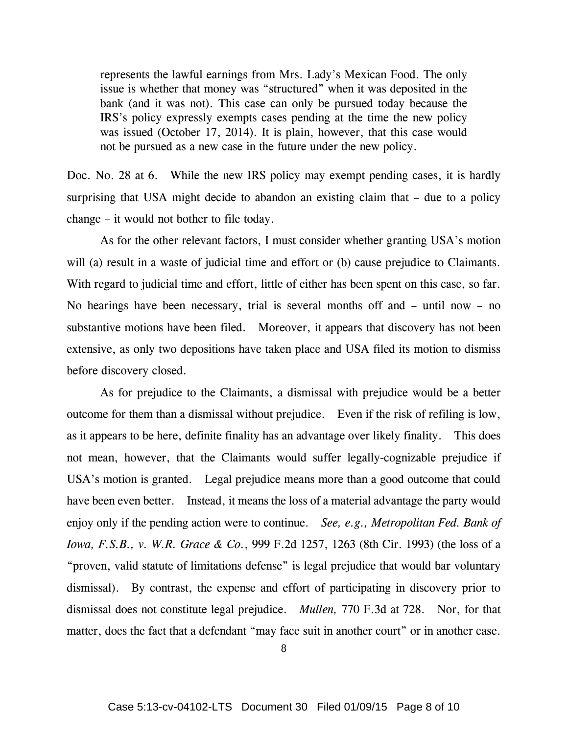represents the lawful earnings from Mrs. Lady's Mexican Food. The only issue is whether that money was "structured" when it was deposited in the bank (and it was not). This case can only be pursued today because the IRS's policy expressly exempts cases pending at the time the new policy was issued (October 17, 2014). It is plain, however, that this case would not be pursued as a new case in the future under the new policy.

Doc. No. 28 at 6. While the new IRS policy may exempt pending cases, it is hardly surprising that USA might decide to abandon an existing claim that – due to a policy change – it would not bother to file today.

 As for the other relevant factors, I must consider whether granting USA's motion will (a) result in a waste of judicial time and effort or (b) cause prejudice to Claimants. With regard to judicial time and effort, little of either has been spent on this case, so far. No hearings have been necessary, trial is several months off and – until now – no substantive motions have been filed. Moreover, it appears that discovery has not been extensive, as only two depositions have taken place and USA filed its motion to dismiss before discovery closed.

 As for prejudice to the Claimants, a dismissal with prejudice would be a better outcome for them than a dismissal without prejudice. Even if the risk of refiling is low, as it appears to be here, definite finality has an advantage over likely finality. This does not mean, however, that the Claimants would suffer legally-cognizable prejudice if USA's motion is granted. Legal prejudice means more than a good outcome that could have been even better. Instead, it means the loss of a material advantage the party would enjoy only if the pending action were to continue. *See, e.g., Metropolitan Fed. Bank of Iowa, F.S.B., v. W.R. Grace & Co.*, 999 F.2d 1257, 1263 (8th Cir. 1993) (the loss of a "proven, valid statute of limitations defense" is legal prejudice that would bar voluntary dismissal). By contrast, the expense and effort of participating in discovery prior to dismissal does not constitute legal prejudice. *Mullen,* 770 F.3d at 728. Nor, for that matter, does the fact that a defendant "may face suit in another court" or in another case.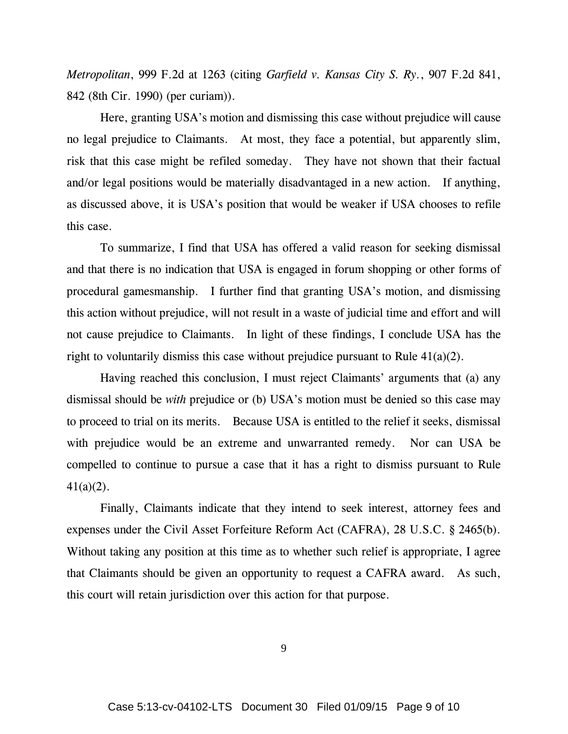*Metropolitan*, 999 F.2d at 1263 (citing *Garfield v. Kansas City S. Ry.*, 907 F.2d 841, 842 (8th Cir. 1990) (per curiam)).

 Here, granting USA's motion and dismissing this case without prejudice will cause no legal prejudice to Claimants. At most, they face a potential, but apparently slim, risk that this case might be refiled someday. They have not shown that their factual and/or legal positions would be materially disadvantaged in a new action. If anything, as discussed above, it is USA's position that would be weaker if USA chooses to refile this case.

 To summarize, I find that USA has offered a valid reason for seeking dismissal and that there is no indication that USA is engaged in forum shopping or other forms of procedural gamesmanship. I further find that granting USA's motion, and dismissing this action without prejudice, will not result in a waste of judicial time and effort and will not cause prejudice to Claimants. In light of these findings, I conclude USA has the right to voluntarily dismiss this case without prejudice pursuant to Rule 41(a)(2).

 Having reached this conclusion, I must reject Claimants' arguments that (a) any dismissal should be *with* prejudice or (b) USA's motion must be denied so this case may to proceed to trial on its merits. Because USA is entitled to the relief it seeks, dismissal with prejudice would be an extreme and unwarranted remedy. Nor can USA be compelled to continue to pursue a case that it has a right to dismiss pursuant to Rule 41(a)(2).

 Finally, Claimants indicate that they intend to seek interest, attorney fees and expenses under the Civil Asset Forfeiture Reform Act (CAFRA), 28 U.S.C. § 2465(b). Without taking any position at this time as to whether such relief is appropriate, I agree that Claimants should be given an opportunity to request a CAFRA award. As such, this court will retain jurisdiction over this action for that purpose.